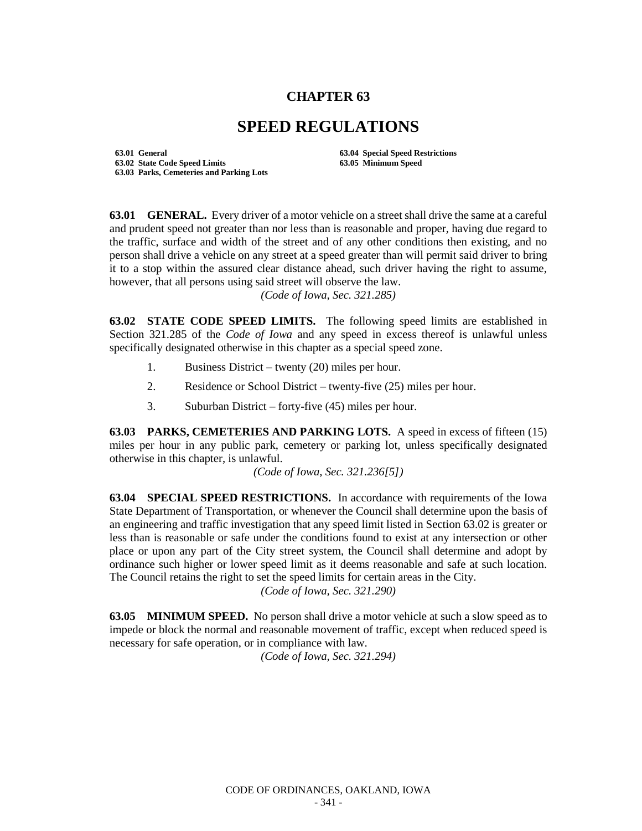## **CHAPTER 63**

## **SPEED REGULATIONS**

**63.01 General 63.04 Special Speed Restrictions 63.02 State Code Speed Limits 63.05 Minimum Speed 63.03 Parks, Cemeteries and Parking Lots**

**63.01 GENERAL.** Every driver of a motor vehicle on a street shall drive the same at a careful and prudent speed not greater than nor less than is reasonable and proper, having due regard to the traffic, surface and width of the street and of any other conditions then existing, and no person shall drive a vehicle on any street at a speed greater than will permit said driver to bring it to a stop within the assured clear distance ahead, such driver having the right to assume, however, that all persons using said street will observe the law.

*(Code of Iowa, Sec. 321.285)*

**63.02 STATE CODE SPEED LIMITS.** The following speed limits are established in Section 321.285 of the *Code of Iowa* and any speed in excess thereof is unlawful unless specifically designated otherwise in this chapter as a special speed zone.

- 1. Business District twenty (20) miles per hour.
- 2. Residence or School District twenty-five (25) miles per hour.
- 3. Suburban District forty-five (45) miles per hour.

**63.03 PARKS, CEMETERIES AND PARKING LOTS.** A speed in excess of fifteen (15) miles per hour in any public park, cemetery or parking lot, unless specifically designated otherwise in this chapter, is unlawful.

*(Code of Iowa, Sec. 321.236[5])*

**63.04 SPECIAL SPEED RESTRICTIONS.** In accordance with requirements of the Iowa State Department of Transportation, or whenever the Council shall determine upon the basis of an engineering and traffic investigation that any speed limit listed in Section 63.02 is greater or less than is reasonable or safe under the conditions found to exist at any intersection or other place or upon any part of the City street system, the Council shall determine and adopt by ordinance such higher or lower speed limit as it deems reasonable and safe at such location. The Council retains the right to set the speed limits for certain areas in the City.

*(Code of Iowa, Sec. 321.290)*

**63.05 MINIMUM SPEED.** No person shall drive a motor vehicle at such a slow speed as to impede or block the normal and reasonable movement of traffic, except when reduced speed is necessary for safe operation, or in compliance with law.

*(Code of Iowa, Sec. 321.294)*